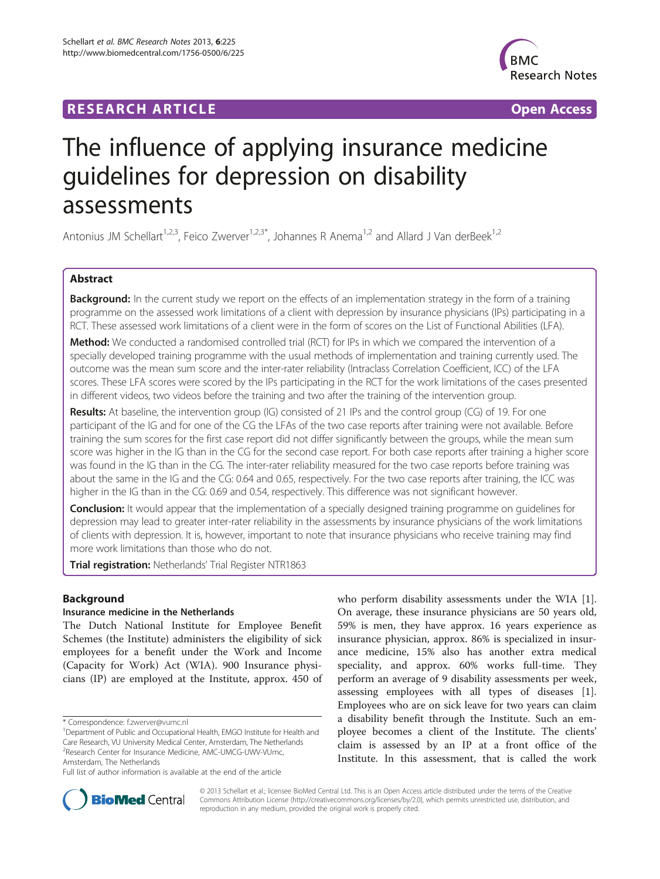## **RESEARCH ARTICLE Example 2014 CONSIDERING A RESEARCH ARTICLE**



# The influence of applying insurance medicine guidelines for depression on disability assessments

Antonius JM Schellart<sup>1,2,3</sup>, Feico Zwerver<sup>1,2,3\*</sup>, Johannes R Anema<sup>1,2</sup> and Allard J Van derBeek<sup>1,2</sup>

## Abstract

Background: In the current study we report on the effects of an implementation strategy in the form of a training programme on the assessed work limitations of a client with depression by insurance physicians (IPs) participating in a RCT. These assessed work limitations of a client were in the form of scores on the List of Functional Abilities (LFA).

Method: We conducted a randomised controlled trial (RCT) for IPs in which we compared the intervention of a specially developed training programme with the usual methods of implementation and training currently used. The outcome was the mean sum score and the inter-rater reliability (Intraclass Correlation Coefficient, ICC) of the LFA scores. These LFA scores were scored by the IPs participating in the RCT for the work limitations of the cases presented in different videos, two videos before the training and two after the training of the intervention group.

Results: At baseline, the intervention group (IG) consisted of 21 IPs and the control group (CG) of 19. For one participant of the IG and for one of the CG the LFAs of the two case reports after training were not available. Before training the sum scores for the first case report did not differ significantly between the groups, while the mean sum score was higher in the IG than in the CG for the second case report. For both case reports after training a higher score was found in the IG than in the CG. The inter-rater reliability measured for the two case reports before training was about the same in the IG and the CG: 0.64 and 0.65, respectively. For the two case reports after training, the ICC was higher in the IG than in the CG: 0.69 and 0.54, respectively. This difference was not significant however.

**Conclusion:** It would appear that the implementation of a specially designed training programme on quidelines for depression may lead to greater inter-rater reliability in the assessments by insurance physicians of the work limitations of clients with depression. It is, however, important to note that insurance physicians who receive training may find more work limitations than those who do not.

Trial registration: Netherlands' Trial Register [NTR1863](http://www.trialregister.nl/trialreg/admin/rctview.asp?TC=1863)

## Background

## Insurance medicine in the Netherlands

The Dutch National Institute for Employee Benefit Schemes (the Institute) administers the eligibility of sick employees for a benefit under the Work and Income (Capacity for Work) Act (WIA). 900 Insurance physicians (IP) are employed at the Institute, approx. 450 of

\* Correspondence: [f.zwerver@vumc.nl](mailto:f.zwerver@vumc.nl) <sup>1</sup>

<sup>1</sup>Department of Public and Occupational Health, EMGO Institute for Health and Care Research, VU University Medical Center, Amsterdam, The Netherlands 2 Research Center for Insurance Medicine, AMC-UMCG-UWV-VUmc, Amsterdam, The Netherlands

Full list of author information is available at the end of the article

who perform disability assessments under the WIA [\[1](#page-7-0)]. On average, these insurance physicians are 50 years old, 59% is men, they have approx. 16 years experience as insurance physician, approx. 86% is specialized in insurance medicine, 15% also has another extra medical speciality, and approx. 60% works full-time. They perform an average of 9 disability assessments per week, assessing employees with all types of diseases [\[1](#page-7-0)]. Employees who are on sick leave for two years can claim a disability benefit through the Institute. Such an employee becomes a client of the Institute. The clients' claim is assessed by an IP at a front office of the Institute. In this assessment, that is called the work



© 2013 Schellart et al.; licensee BioMed Central Ltd. This is an Open Access article distributed under the terms of the Creative Commons Attribution License [\(http://creativecommons.org/licenses/by/2.0\)](http://creativecommons.org/licenses/by/2.0), which permits unrestricted use, distribution, and reproduction in any medium, provided the original work is properly cited.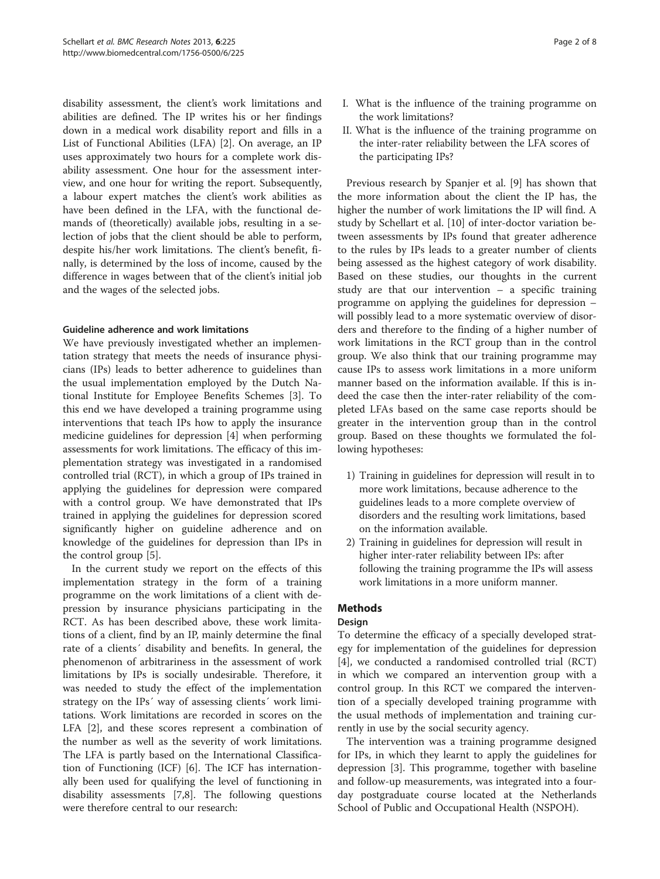disability assessment, the client's work limitations and abilities are defined. The IP writes his or her findings down in a medical work disability report and fills in a List of Functional Abilities (LFA) [[2\]](#page-7-0). On average, an IP uses approximately two hours for a complete work disability assessment. One hour for the assessment interview, and one hour for writing the report. Subsequently, a labour expert matches the client's work abilities as have been defined in the LFA, with the functional demands of (theoretically) available jobs, resulting in a selection of jobs that the client should be able to perform, despite his/her work limitations. The client's benefit, finally, is determined by the loss of income, caused by the difference in wages between that of the client's initial job and the wages of the selected jobs.

#### Guideline adherence and work limitations

We have previously investigated whether an implementation strategy that meets the needs of insurance physicians (IPs) leads to better adherence to guidelines than the usual implementation employed by the Dutch National Institute for Employee Benefits Schemes [\[3](#page-7-0)]. To this end we have developed a training programme using interventions that teach IPs how to apply the insurance medicine guidelines for depression [\[4](#page-7-0)] when performing assessments for work limitations. The efficacy of this implementation strategy was investigated in a randomised controlled trial (RCT), in which a group of IPs trained in applying the guidelines for depression were compared with a control group. We have demonstrated that IPs trained in applying the guidelines for depression scored significantly higher on guideline adherence and on knowledge of the guidelines for depression than IPs in the control group [\[5](#page-7-0)].

In the current study we report on the effects of this implementation strategy in the form of a training programme on the work limitations of a client with depression by insurance physicians participating in the RCT. As has been described above, these work limitations of a client, find by an IP, mainly determine the final rate of a clients´ disability and benefits. In general, the phenomenon of arbitrariness in the assessment of work limitations by IPs is socially undesirable. Therefore, it was needed to study the effect of the implementation strategy on the IPs´ way of assessing clients´ work limitations. Work limitations are recorded in scores on the LFA [\[2\]](#page-7-0), and these scores represent a combination of the number as well as the severity of work limitations. The LFA is partly based on the International Classification of Functioning (ICF) [[6\]](#page-7-0). The ICF has internationally been used for qualifying the level of functioning in disability assessments [\[7,8](#page-7-0)]. The following questions were therefore central to our research:

- I. What is the influence of the training programme on the work limitations?
- II. What is the influence of the training programme on the inter-rater reliability between the LFA scores of the participating IPs?

Previous research by Spanjer et al. [\[9](#page-7-0)] has shown that the more information about the client the IP has, the higher the number of work limitations the IP will find. A study by Schellart et al. [[10\]](#page-7-0) of inter-doctor variation between assessments by IPs found that greater adherence to the rules by IPs leads to a greater number of clients being assessed as the highest category of work disability. Based on these studies, our thoughts in the current study are that our intervention – a specific training programme on applying the guidelines for depression – will possibly lead to a more systematic overview of disorders and therefore to the finding of a higher number of work limitations in the RCT group than in the control group. We also think that our training programme may cause IPs to assess work limitations in a more uniform manner based on the information available. If this is indeed the case then the inter-rater reliability of the completed LFAs based on the same case reports should be greater in the intervention group than in the control group. Based on these thoughts we formulated the following hypotheses:

- 1) Training in guidelines for depression will result in to more work limitations, because adherence to the guidelines leads to a more complete overview of disorders and the resulting work limitations, based on the information available.
- 2) Training in guidelines for depression will result in higher inter-rater reliability between IPs: after following the training programme the IPs will assess work limitations in a more uniform manner.

## Methods

#### Design

To determine the efficacy of a specially developed strategy for implementation of the guidelines for depression [[4\]](#page-7-0), we conducted a randomised controlled trial (RCT) in which we compared an intervention group with a control group. In this RCT we compared the intervention of a specially developed training programme with the usual methods of implementation and training currently in use by the social security agency.

The intervention was a training programme designed for IPs, in which they learnt to apply the guidelines for depression [[3](#page-7-0)]. This programme, together with baseline and follow-up measurements, was integrated into a fourday postgraduate course located at the Netherlands School of Public and Occupational Health (NSPOH).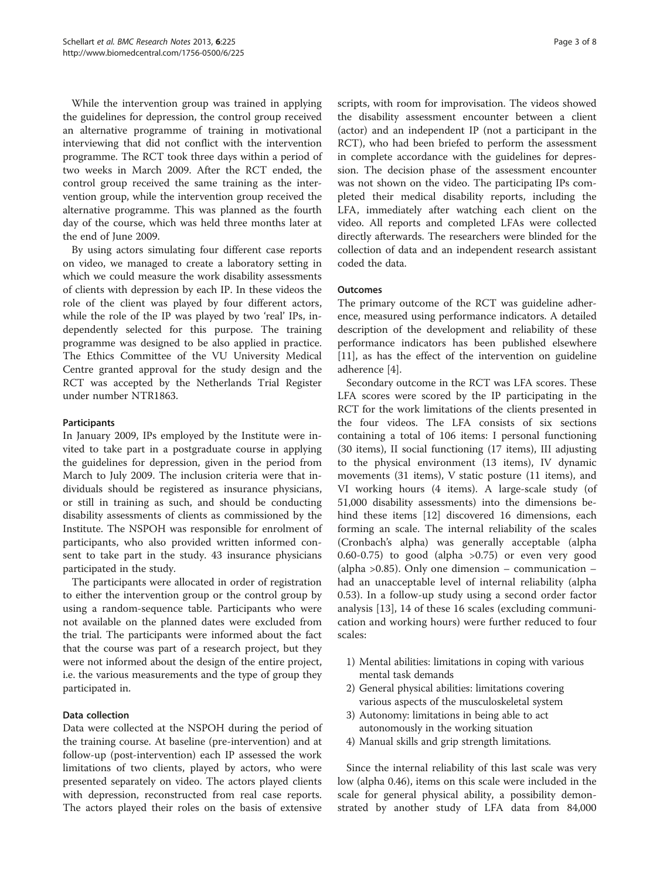While the intervention group was trained in applying the guidelines for depression, the control group received an alternative programme of training in motivational interviewing that did not conflict with the intervention programme. The RCT took three days within a period of two weeks in March 2009. After the RCT ended, the control group received the same training as the intervention group, while the intervention group received the alternative programme. This was planned as the fourth day of the course, which was held three months later at the end of June 2009.

By using actors simulating four different case reports on video, we managed to create a laboratory setting in which we could measure the work disability assessments of clients with depression by each IP. In these videos the role of the client was played by four different actors, while the role of the IP was played by two 'real' IPs, independently selected for this purpose. The training programme was designed to be also applied in practice. The Ethics Committee of the VU University Medical Centre granted approval for the study design and the RCT was accepted by the Netherlands Trial Register under number NTR1863.

## Participants

In January 2009, IPs employed by the Institute were invited to take part in a postgraduate course in applying the guidelines for depression, given in the period from March to July 2009. The inclusion criteria were that individuals should be registered as insurance physicians, or still in training as such, and should be conducting disability assessments of clients as commissioned by the Institute. The NSPOH was responsible for enrolment of participants, who also provided written informed consent to take part in the study. 43 insurance physicians participated in the study.

The participants were allocated in order of registration to either the intervention group or the control group by using a random-sequence table. Participants who were not available on the planned dates were excluded from the trial. The participants were informed about the fact that the course was part of a research project, but they were not informed about the design of the entire project, i.e. the various measurements and the type of group they participated in.

## Data collection

Data were collected at the NSPOH during the period of the training course. At baseline (pre-intervention) and at follow-up (post-intervention) each IP assessed the work limitations of two clients, played by actors, who were presented separately on video. The actors played clients with depression, reconstructed from real case reports. The actors played their roles on the basis of extensive

scripts, with room for improvisation. The videos showed the disability assessment encounter between a client (actor) and an independent IP (not a participant in the RCT), who had been briefed to perform the assessment in complete accordance with the guidelines for depression. The decision phase of the assessment encounter was not shown on the video. The participating IPs completed their medical disability reports, including the LFA, immediately after watching each client on the video. All reports and completed LFAs were collected directly afterwards. The researchers were blinded for the collection of data and an independent research assistant coded the data.

#### **Outcomes**

The primary outcome of the RCT was guideline adherence, measured using performance indicators. A detailed description of the development and reliability of these performance indicators has been published elsewhere [[11\]](#page-7-0), as has the effect of the intervention on guideline adherence [\[4](#page-7-0)].

Secondary outcome in the RCT was LFA scores. These LFA scores were scored by the IP participating in the RCT for the work limitations of the clients presented in the four videos. The LFA consists of six sections containing a total of 106 items: I personal functioning (30 items), II social functioning (17 items), III adjusting to the physical environment (13 items), IV dynamic movements (31 items), V static posture (11 items), and VI working hours (4 items). A large-scale study (of 51,000 disability assessments) into the dimensions behind these items [[12\]](#page-7-0) discovered 16 dimensions, each forming an scale. The internal reliability of the scales (Cronbach's alpha) was generally acceptable (alpha 0.60-0.75) to good (alpha  $>0.75$ ) or even very good (alpha >0.85). Only one dimension – communication – had an unacceptable level of internal reliability (alpha 0.53). In a follow-up study using a second order factor analysis [[13\]](#page-7-0), 14 of these 16 scales (excluding communication and working hours) were further reduced to four scales:

- 1) Mental abilities: limitations in coping with various mental task demands
- 2) General physical abilities: limitations covering various aspects of the musculoskeletal system
- 3) Autonomy: limitations in being able to act autonomously in the working situation
- 4) Manual skills and grip strength limitations.

Since the internal reliability of this last scale was very low (alpha 0.46), items on this scale were included in the scale for general physical ability, a possibility demonstrated by another study of LFA data from 84,000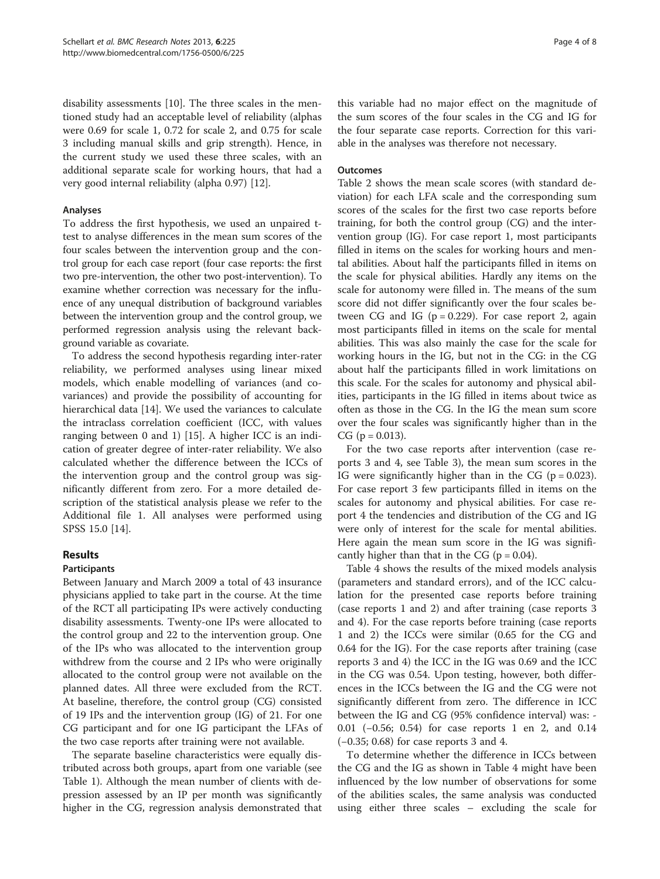disability assessments [\[10\]](#page-7-0). The three scales in the mentioned study had an acceptable level of reliability (alphas were 0.69 for scale 1, 0.72 for scale 2, and 0.75 for scale 3 including manual skills and grip strength). Hence, in the current study we used these three scales, with an additional separate scale for working hours, that had a very good internal reliability (alpha 0.97) [\[12](#page-7-0)].

#### Analyses

To address the first hypothesis, we used an unpaired ttest to analyse differences in the mean sum scores of the four scales between the intervention group and the control group for each case report (four case reports: the first two pre-intervention, the other two post-intervention). To examine whether correction was necessary for the influence of any unequal distribution of background variables between the intervention group and the control group, we performed regression analysis using the relevant background variable as covariate.

To address the second hypothesis regarding inter-rater reliability, we performed analyses using linear mixed models, which enable modelling of variances (and covariances) and provide the possibility of accounting for hierarchical data [[14](#page-7-0)]. We used the variances to calculate the intraclass correlation coefficient (ICC, with values ranging between 0 and 1) [[15\]](#page-7-0). A higher ICC is an indication of greater degree of inter-rater reliability. We also calculated whether the difference between the ICCs of the intervention group and the control group was significantly different from zero. For a more detailed description of the statistical analysis please we refer to the Additional file [1](#page-6-0). All analyses were performed using SPSS 15.0 [\[14\]](#page-7-0).

## Results

## Participants

Between January and March 2009 a total of 43 insurance physicians applied to take part in the course. At the time of the RCT all participating IPs were actively conducting disability assessments. Twenty-one IPs were allocated to the control group and 22 to the intervention group. One of the IPs who was allocated to the intervention group withdrew from the course and 2 IPs who were originally allocated to the control group were not available on the planned dates. All three were excluded from the RCT. At baseline, therefore, the control group (CG) consisted of 19 IPs and the intervention group (IG) of 21. For one CG participant and for one IG participant the LFAs of the two case reports after training were not available.

The separate baseline characteristics were equally distributed across both groups, apart from one variable (see Table [1](#page-4-0)). Although the mean number of clients with depression assessed by an IP per month was significantly higher in the CG, regression analysis demonstrated that

this variable had no major effect on the magnitude of the sum scores of the four scales in the CG and IG for the four separate case reports. Correction for this variable in the analyses was therefore not necessary.

#### **Outcomes**

Table [2](#page-4-0) shows the mean scale scores (with standard deviation) for each LFA scale and the corresponding sum scores of the scales for the first two case reports before training, for both the control group (CG) and the intervention group (IG). For case report 1, most participants filled in items on the scales for working hours and mental abilities. About half the participants filled in items on the scale for physical abilities. Hardly any items on the scale for autonomy were filled in. The means of the sum score did not differ significantly over the four scales between CG and IG  $(p = 0.229)$ . For case report 2, again most participants filled in items on the scale for mental abilities. This was also mainly the case for the scale for working hours in the IG, but not in the CG: in the CG about half the participants filled in work limitations on this scale. For the scales for autonomy and physical abilities, participants in the IG filled in items about twice as often as those in the CG. In the IG the mean sum score over the four scales was significantly higher than in the  $CG (p = 0.013).$ 

For the two case reports after intervention (case reports 3 and 4, see Table [3](#page-5-0)), the mean sum scores in the IG were significantly higher than in the CG ( $p = 0.023$ ). For case report 3 few participants filled in items on the scales for autonomy and physical abilities. For case report 4 the tendencies and distribution of the CG and IG were only of interest for the scale for mental abilities. Here again the mean sum score in the IG was significantly higher than that in the CG ( $p = 0.04$ ).

Table [4](#page-5-0) shows the results of the mixed models analysis (parameters and standard errors), and of the ICC calculation for the presented case reports before training (case reports 1 and 2) and after training (case reports 3 and 4). For the case reports before training (case reports 1 and 2) the ICCs were similar (0.65 for the CG and 0.64 for the IG). For the case reports after training (case reports 3 and 4) the ICC in the IG was 0.69 and the ICC in the CG was 0.54. Upon testing, however, both differences in the ICCs between the IG and the CG were not significantly different from zero. The difference in ICC between the IG and CG (95% confidence interval) was: - 0.01 (−0.56; 0.54) for case reports 1 en 2, and 0.14 (−0.35; 0.68) for case reports 3 and 4.

To determine whether the difference in ICCs between the CG and the IG as shown in Table [4](#page-5-0) might have been influenced by the low number of observations for some of the abilities scales, the same analysis was conducted using either three scales – excluding the scale for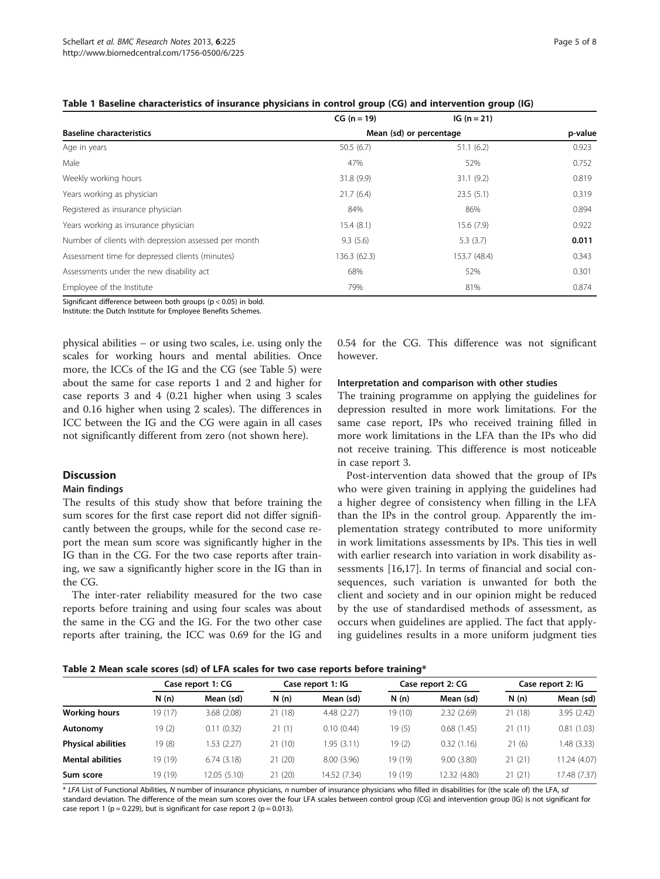|                                                      | $CG (n = 19)$           | $IG (n = 21)$ |       |
|------------------------------------------------------|-------------------------|---------------|-------|
| <b>Baseline characteristics</b>                      | Mean (sd) or percentage | p-value       |       |
| Age in years                                         | 50.5(6.7)               | 51.1(6.2)     | 0.923 |
| Male                                                 | 47%                     | 52%           | 0.752 |
| Weekly working hours                                 | 31.8(9.9)               | 31.1(9.2)     | 0.819 |
| Years working as physician                           | 21.7(6.4)               | 23.5(5.1)     | 0.319 |
| Registered as insurance physician                    | 84%                     | 86%           | 0.894 |
| Years working as insurance physician                 | 15.4(8.1)               | 15.6(7.9)     | 0.922 |
| Number of clients with depression assessed per month | 9.3(5.6)                | 5.3(3.7)      | 0.011 |
| Assessment time for depressed clients (minutes)      | 136.3 (62.3)            | 153.7 (48.4)  | 0.343 |
| Assessments under the new disability act             | 68%                     | 52%           | 0.301 |
| Employee of the Institute                            | 79%                     | 81%           | 0.874 |

<span id="page-4-0"></span>Table 1 Baseline characteristics of insurance physicians in control group (CG) and intervention group (IG)

Significant difference between both groups (p < 0.05) in bold.

Institute: the Dutch Institute for Employee Benefits Schemes.

physical abilities – or using two scales, i.e. using only the scales for working hours and mental abilities. Once more, the ICCs of the IG and the CG (see Table [5\)](#page-5-0) were about the same for case reports 1 and 2 and higher for case reports 3 and 4 (0.21 higher when using 3 scales and 0.16 higher when using 2 scales). The differences in ICC between the IG and the CG were again in all cases not significantly different from zero (not shown here).

## **Discussion**

#### Main findings

The results of this study show that before training the sum scores for the first case report did not differ significantly between the groups, while for the second case report the mean sum score was significantly higher in the IG than in the CG. For the two case reports after training, we saw a significantly higher score in the IG than in the CG.

The inter-rater reliability measured for the two case reports before training and using four scales was about the same in the CG and the IG. For the two other case reports after training, the ICC was 0.69 for the IG and 0.54 for the CG. This difference was not significant however.

## Interpretation and comparison with other studies

The training programme on applying the guidelines for depression resulted in more work limitations. For the same case report, IPs who received training filled in more work limitations in the LFA than the IPs who did not receive training. This difference is most noticeable in case report 3.

Post-intervention data showed that the group of IPs who were given training in applying the guidelines had a higher degree of consistency when filling in the LFA than the IPs in the control group. Apparently the implementation strategy contributed to more uniformity in work limitations assessments by IPs. This ties in well with earlier research into variation in work disability assessments [[16,17](#page-7-0)]. In terms of financial and social consequences, such variation is unwanted for both the client and society and in our opinion might be reduced by the use of standardised methods of assessment, as occurs when guidelines are applied. The fact that applying guidelines results in a more uniform judgment ties

|  | Table 2 Mean scale scores (sd) of LFA scales for two case reports before training* |  |  |  |  |
|--|------------------------------------------------------------------------------------|--|--|--|--|
|--|------------------------------------------------------------------------------------|--|--|--|--|

|                           | Case report 1: CG |              | Case report 1: IG |              | Case report 2: CG |              | Case report 2: IG |              |
|---------------------------|-------------------|--------------|-------------------|--------------|-------------------|--------------|-------------------|--------------|
|                           | N(n)              | Mean (sd)    | N(n)              | Mean (sd)    | N(n)              | Mean (sd)    | N(n)              | Mean (sd)    |
| <b>Working hours</b>      | 19 (17)           | 3.68(2.08)   | 21(18)            | 4.48(2.27)   | 19 (10)           | 2.32(2.69)   | 21 (18)           | 3.95(2.42)   |
| Autonomy                  | 19 (2)            | 0.11(0.32)   | 21(1)             | 0.10(0.44)   | 19(5)             | 0.68(1.45)   | 21(11)            | 0.81(1.03)   |
| <b>Physical abilities</b> | 19 (8)            | 1.53 (2.27)  | 21(10)            | 1.95 (3.11)  | 19(2)             | 0.32(1.16)   | 21(6)             | 1.48 (3.33)  |
| <b>Mental abilities</b>   | 19 (19)           | 6.74(3.18)   | 21(20)            | 8.00 (3.96)  | 19 (19)           | 9.00(3.80)   | 21(21)            | 11.24 (4.07) |
| Sum score                 | 19 (19)           | 12.05 (5.10) | 21(20)            | 14.52 (7.34) | 19 (19)           | 12.32 (4.80) | 21(21)            | 17.48 (7.37) |

\* LFA List of Functional Abilities, N number of insurance physicians, n number of insurance physicians who filled in disabilities for (the scale of) the LFA, sd standard deviation. The difference of the mean sum scores over the four LFA scales between control group (CG) and intervention group (IG) is not significant for case report 1 ( $p = 0.229$ ), but is significant for case report 2 ( $p = 0.013$ ).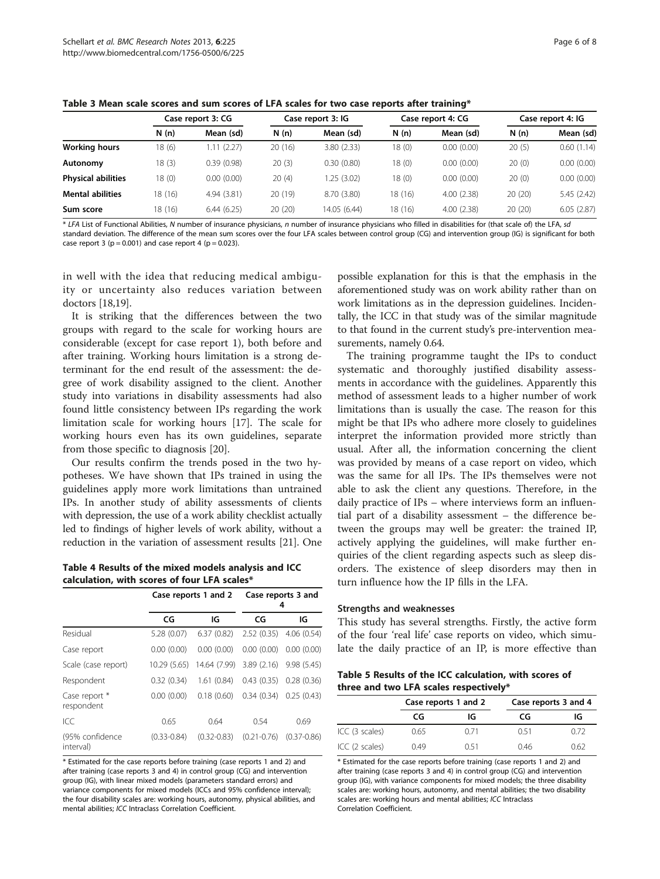<span id="page-5-0"></span>

| Table 3 Mean scale scores and sum scores of LFA scales for two case reports after training* |  |  |  |  |
|---------------------------------------------------------------------------------------------|--|--|--|--|
|---------------------------------------------------------------------------------------------|--|--|--|--|

|                           | Case report 3: CG |             | Case report 3: IG |              | Case report 4: CG |            | Case report 4: IG |            |
|---------------------------|-------------------|-------------|-------------------|--------------|-------------------|------------|-------------------|------------|
|                           | N(n)              | Mean (sd)   | N(n)              | Mean (sd)    | N(n)              | Mean (sd)  | N(n)              | Mean (sd)  |
| <b>Working hours</b>      | 18 (6)            | .11(2.27)   | 20(16)            | 3.80(2.33)   | 18 (0)            | 0.00(0.00) | 20(5)             | 0.60(1.14) |
| Autonomy                  | 18(3)             | 0.39(0.98)  | 20(3)             | 0.30(0.80)   | 18 (0)            | 0.00(0.00) | 20(0)             | 0.00(0.00) |
| <b>Physical abilities</b> | 18(0)             | 0.00(0.00)  | 20(4)             | 1.25 (3.02)  | 18(0)             | 0.00(0.00) | 20(0)             | 0.00(0.00) |
| <b>Mental abilities</b>   | 18 (16)           | 4.94 (3.81) | 20(19)            | 8.70 (3.80)  | 18 (16)           | 4.00(2.38) | 20(20)            | 5.45(2.42) |
| Sum score                 | 18 (16)           | 6.44(6.25)  | 20(20)            | 14.05 (6.44) | 18 (16)           | 4.00(2.38) | 20(20)            | 6.05(2.87) |
|                           |                   |             |                   |              |                   |            |                   |            |

\* LFA List of Functional Abilities, N number of insurance physicians, n number of insurance physicians who filled in disabilities for (that scale of) the LFA, sd standard deviation. The difference of the mean sum scores over the four LFA scales between control group (CG) and intervention group (IG) is significant for both case report 3 ( $p = 0.001$ ) and case report 4 ( $p = 0.023$ ).

in well with the idea that reducing medical ambiguity or uncertainty also reduces variation between doctors [\[18,19\]](#page-7-0).

It is striking that the differences between the two groups with regard to the scale for working hours are considerable (except for case report 1), both before and after training. Working hours limitation is a strong determinant for the end result of the assessment: the degree of work disability assigned to the client. Another study into variations in disability assessments had also found little consistency between IPs regarding the work limitation scale for working hours [[17\]](#page-7-0). The scale for working hours even has its own guidelines, separate from those specific to diagnosis [\[20](#page-7-0)].

Our results confirm the trends posed in the two hypotheses. We have shown that IPs trained in using the guidelines apply more work limitations than untrained IPs. In another study of ability assessments of clients with depression, the use of a work ability checklist actually led to findings of higher levels of work ability, without a reduction in the variation of assessment results [\[21\]](#page-7-0). One

Table 4 Results of the mixed models analysis and ICC calculation, with scores of four LFA scales\*

|                              |                 | Case reports 1 and 2 | Case reports 3 and<br>4 |                           |  |
|------------------------------|-----------------|----------------------|-------------------------|---------------------------|--|
|                              | CG              | IG                   | CG                      | ١G                        |  |
| Residual                     | 5.28 (0.07)     | 6.37(0.82)           |                         | 2.52 (0.35) 4.06 (0.54)   |  |
| Case report                  | 0.00(0.00)      | 0.00(0.00)           | 0.00(0.00)              | 0.00(0.00)                |  |
| Scale (case report)          | 10.29(5.65)     | 14.64 (7.99)         | 3.89(2.16)              | 9.98(5.45)                |  |
| Respondent                   | 0.32(0.34)      | 1.61(0.84)           |                         | $0.43(0.35)$ $0.28(0.36)$ |  |
| Case report *<br>respondent  | 0.00(0.00)      | 0.18(0.60)           | 0.34(0.34)              | 0.25(0.43)                |  |
| ICC                          | 0.65            | 0.64                 | 0.54                    | 0.69                      |  |
| (95% confidence<br>interval) | $(0.33 - 0.84)$ | $(0.32 - 0.83)$      | $(0.21 - 0.76)$         | $(0.37 - 0.86)$           |  |

\* Estimated for the case reports before training (case reports 1 and 2) and after training (case reports 3 and 4) in control group (CG) and intervention group (IG), with linear mixed models (parameters standard errors) and variance components for mixed models (ICCs and 95% confidence interval); the four disability scales are: working hours, autonomy, physical abilities, and mental abilities; ICC Intraclass Correlation Coefficient.

possible explanation for this is that the emphasis in the aforementioned study was on work ability rather than on work limitations as in the depression guidelines. Incidentally, the ICC in that study was of the similar magnitude to that found in the current study's pre-intervention measurements, namely 0.64.

The training programme taught the IPs to conduct systematic and thoroughly justified disability assessments in accordance with the guidelines. Apparently this method of assessment leads to a higher number of work limitations than is usually the case. The reason for this might be that IPs who adhere more closely to guidelines interpret the information provided more strictly than usual. After all, the information concerning the client was provided by means of a case report on video, which was the same for all IPs. The IPs themselves were not able to ask the client any questions. Therefore, in the daily practice of IPs – where interviews form an influential part of a disability assessment – the difference between the groups may well be greater: the trained IP, actively applying the guidelines, will make further enquiries of the client regarding aspects such as sleep disorders. The existence of sleep disorders may then in turn influence how the IP fills in the LFA.

#### Strengths and weaknesses

This study has several strengths. Firstly, the active form of the four 'real life' case reports on video, which simulate the daily practice of an IP, is more effective than

Table 5 Results of the ICC calculation, with scores of three and two LFA scales respectively\*

|                |      | Case reports 1 and 2 | Case reports 3 and 4 |      |  |  |
|----------------|------|----------------------|----------------------|------|--|--|
|                | CG   | IG                   | CG                   | IG   |  |  |
| ICC (3 scales) | 0.65 | 0.71                 | 051                  | 0.72 |  |  |
| ICC (2 scales) | 0.49 | O 51                 | 0.46                 | 0.62 |  |  |

\* Estimated for the case reports before training (case reports 1 and 2) and after training (case reports 3 and 4) in control group (CG) and intervention group (IG), with variance components for mixed models; the three disability scales are: working hours, autonomy, and mental abilities; the two disability scales are: working hours and mental abilities; ICC Intraclass Correlation Coefficient.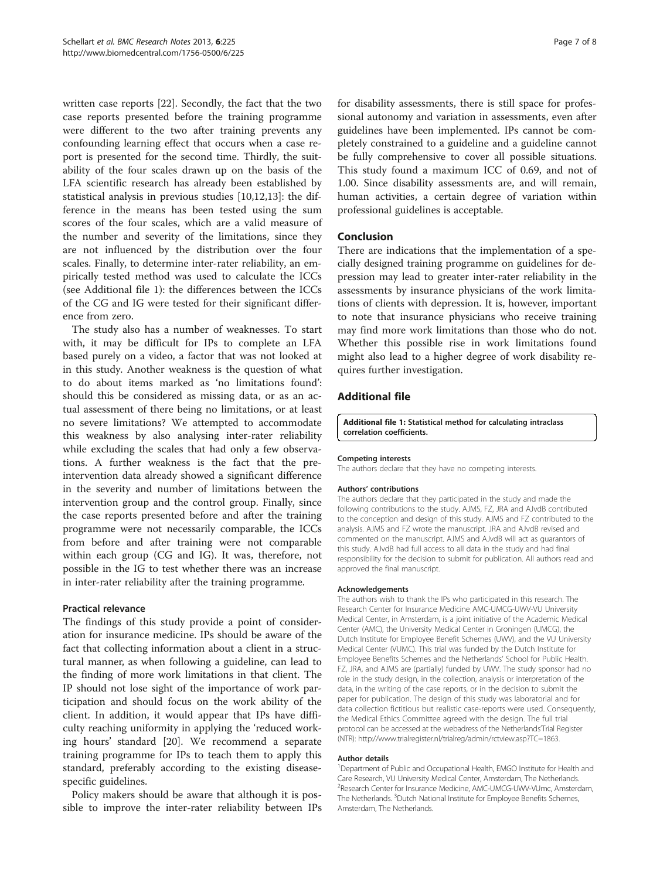<span id="page-6-0"></span>written case reports [\[22\]](#page-7-0). Secondly, the fact that the two case reports presented before the training programme were different to the two after training prevents any confounding learning effect that occurs when a case report is presented for the second time. Thirdly, the suitability of the four scales drawn up on the basis of the LFA scientific research has already been established by statistical analysis in previous studies [\[10,12,13](#page-7-0)]: the difference in the means has been tested using the sum scores of the four scales, which are a valid measure of the number and severity of the limitations, since they are not influenced by the distribution over the four scales. Finally, to determine inter-rater reliability, an empirically tested method was used to calculate the ICCs (see Additional file 1): the differences between the ICCs of the CG and IG were tested for their significant difference from zero.

The study also has a number of weaknesses. To start with, it may be difficult for IPs to complete an LFA based purely on a video, a factor that was not looked at in this study. Another weakness is the question of what to do about items marked as 'no limitations found': should this be considered as missing data, or as an actual assessment of there being no limitations, or at least no severe limitations? We attempted to accommodate this weakness by also analysing inter-rater reliability while excluding the scales that had only a few observations. A further weakness is the fact that the preintervention data already showed a significant difference in the severity and number of limitations between the intervention group and the control group. Finally, since the case reports presented before and after the training programme were not necessarily comparable, the ICCs from before and after training were not comparable within each group (CG and IG). It was, therefore, not possible in the IG to test whether there was an increase in inter-rater reliability after the training programme.

#### Practical relevance

The findings of this study provide a point of consideration for insurance medicine. IPs should be aware of the fact that collecting information about a client in a structural manner, as when following a guideline, can lead to the finding of more work limitations in that client. The IP should not lose sight of the importance of work participation and should focus on the work ability of the client. In addition, it would appear that IPs have difficulty reaching uniformity in applying the 'reduced working hours' standard [\[20](#page-7-0)]. We recommend a separate training programme for IPs to teach them to apply this standard, preferably according to the existing diseasespecific guidelines.

Policy makers should be aware that although it is possible to improve the inter-rater reliability between IPs for disability assessments, there is still space for professional autonomy and variation in assessments, even after guidelines have been implemented. IPs cannot be completely constrained to a guideline and a guideline cannot be fully comprehensive to cover all possible situations. This study found a maximum ICC of 0.69, and not of 1.00. Since disability assessments are, and will remain, human activities, a certain degree of variation within professional guidelines is acceptable.

## Conclusion

There are indications that the implementation of a specially designed training programme on guidelines for depression may lead to greater inter-rater reliability in the assessments by insurance physicians of the work limitations of clients with depression. It is, however, important to note that insurance physicians who receive training may find more work limitations than those who do not. Whether this possible rise in work limitations found might also lead to a higher degree of work disability requires further investigation.

## Additional file

[Additional file 1:](http://www.biomedcentral.com/content/supplementary/1756-0500-6-225-S1.doc) Statistical method for calculating intraclass correlation coefficients.

#### Competing interests

The authors declare that they have no competing interests.

#### Authors' contributions

The authors declare that they participated in the study and made the following contributions to the study. AJMS, FZ, JRA and AJvdB contributed to the conception and design of this study. AJMS and FZ contributed to the analysis. AJMS and FZ wrote the manuscript. JRA and AJvdB revised and commented on the manuscript. AJMS and AJvdB will act as guarantors of this study. AJvdB had full access to all data in the study and had final responsibility for the decision to submit for publication. All authors read and approved the final manuscript.

#### Acknowledgements

The authors wish to thank the IPs who participated in this research. The Research Center for Insurance Medicine AMC-UMCG-UWV-VU University Medical Center, in Amsterdam, is a joint initiative of the Academic Medical Center (AMC), the University Medical Center in Groningen (UMCG), the Dutch Institute for Employee Benefit Schemes (UWV), and the VU University Medical Center (VUMC). This trial was funded by the Dutch Institute for Employee Benefits Schemes and the Netherlands' School for Public Health. FZ, JRA, and AJMS are (partially) funded by UWV. The study sponsor had no role in the study design, in the collection, analysis or interpretation of the data, in the writing of the case reports, or in the decision to submit the paper for publication. The design of this study was laboratorial and for data collection fictitious but realistic case-reports were used. Consequently, the Medical Ethics Committee agreed with the design. The full trial protocol can be accessed at the webadress of the Netherlands'Trial Register (NTR):<http://www.trialregister.nl/trialreg/admin/rctview.asp?TC=1863>.

#### Author details

<sup>1</sup>Department of Public and Occupational Health, EMGO Institute for Health and Care Research, VU University Medical Center, Amsterdam, The Netherlands. <sup>2</sup>Research Center for Insurance Medicine, AMC-UMCG-UWV-VUmc, Amsterdam, The Netherlands. <sup>3</sup>Dutch National Institute for Employee Benefits Schemes, Amsterdam, The Netherlands.